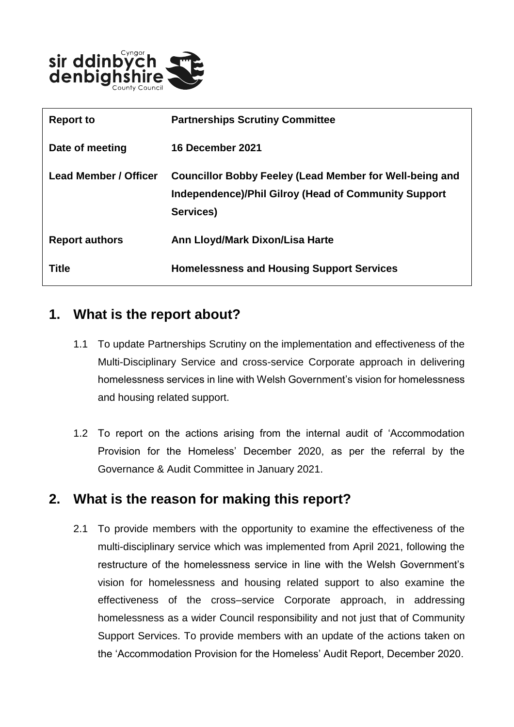

| <b>Report to</b>             | <b>Partnerships Scrutiny Committee</b>                                                                                                     |
|------------------------------|--------------------------------------------------------------------------------------------------------------------------------------------|
| Date of meeting              | <b>16 December 2021</b>                                                                                                                    |
| <b>Lead Member / Officer</b> | <b>Councillor Bobby Feeley (Lead Member for Well-being and</b><br><b>Independence)/Phil Gilroy (Head of Community Support</b><br>Services) |
| <b>Report authors</b>        | Ann Lloyd/Mark Dixon/Lisa Harte                                                                                                            |
| <b>Title</b>                 | <b>Homelessness and Housing Support Services</b>                                                                                           |

### **1. What is the report about?**

- 1.1 To update Partnerships Scrutiny on the implementation and effectiveness of the Multi-Disciplinary Service and cross-service Corporate approach in delivering homelessness services in line with Welsh Government's vision for homelessness and housing related support.
- 1.2 To report on the actions arising from the internal audit of 'Accommodation Provision for the Homeless' December 2020, as per the referral by the Governance & Audit Committee in January 2021.

### **2. What is the reason for making this report?**

2.1 To provide members with the opportunity to examine the effectiveness of the multi-disciplinary service which was implemented from April 2021, following the restructure of the homelessness service in line with the Welsh Government's vision for homelessness and housing related support to also examine the effectiveness of the cross–service Corporate approach, in addressing homelessness as a wider Council responsibility and not just that of Community Support Services. To provide members with an update of the actions taken on the 'Accommodation Provision for the Homeless' Audit Report, December 2020.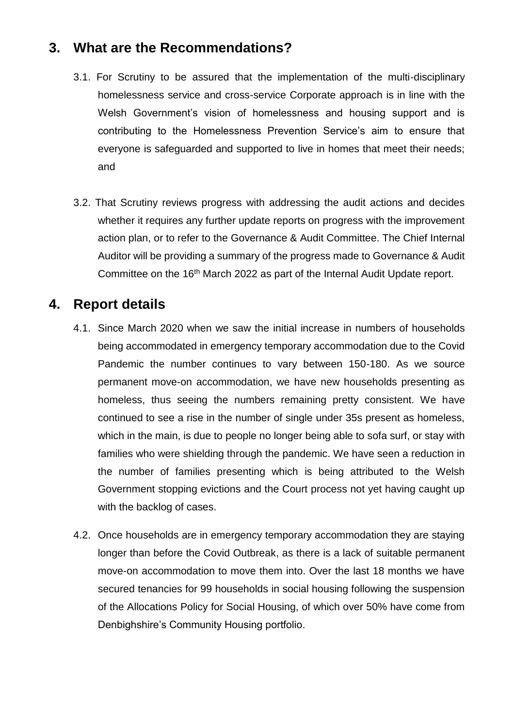### **3. What are the Recommendations?**

- 3.1. For Scrutiny to be assured that the implementation of the multi-disciplinary homelessness service and cross-service Corporate approach is in line with the Welsh Government's vision of homelessness and housing support and is contributing to the Homelessness Prevention Service's aim to ensure that everyone is safeguarded and supported to live in homes that meet their needs; and
- 3.2. That Scrutiny reviews progress with addressing the audit actions and decides whether it requires any further update reports on progress with the improvement action plan, or to refer to the Governance & Audit Committee. The Chief Internal Auditor will be providing a summary of the progress made to Governance & Audit Committee on the 16<sup>th</sup> March 2022 as part of the Internal Audit Update report.

### **4. Report details**

- 4.1. Since March 2020 when we saw the initial increase in numbers of households being accommodated in emergency temporary accommodation due to the Covid Pandemic the number continues to vary between 150-180. As we source permanent move-on accommodation, we have new households presenting as homeless, thus seeing the numbers remaining pretty consistent. We have continued to see a rise in the number of single under 35s present as homeless, which in the main, is due to people no longer being able to sofa surf, or stay with families who were shielding through the pandemic. We have seen a reduction in the number of families presenting which is being attributed to the Welsh Government stopping evictions and the Court process not yet having caught up with the backlog of cases.
- 4.2. Once households are in emergency temporary accommodation they are staying longer than before the Covid Outbreak, as there is a lack of suitable permanent move-on accommodation to move them into. Over the last 18 months we have secured tenancies for 99 households in social housing following the suspension of the Allocations Policy for Social Housing, of which over 50% have come from Denbighshire's Community Housing portfolio.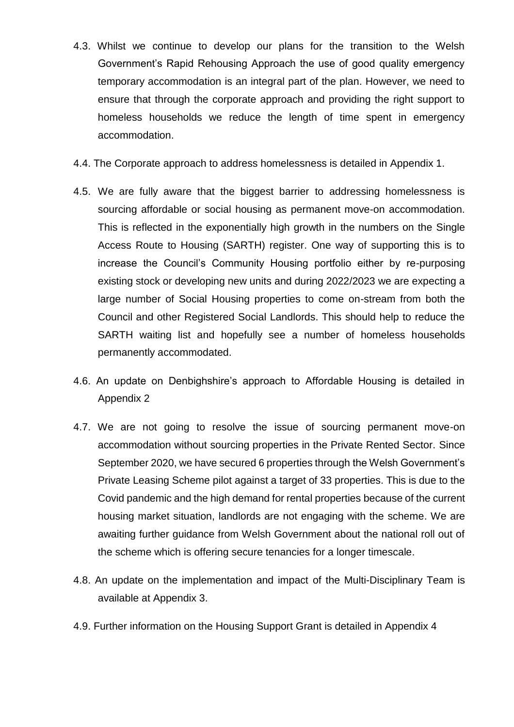- 4.3. Whilst we continue to develop our plans for the transition to the Welsh Government's Rapid Rehousing Approach the use of good quality emergency temporary accommodation is an integral part of the plan. However, we need to ensure that through the corporate approach and providing the right support to homeless households we reduce the length of time spent in emergency accommodation.
- 4.4. The Corporate approach to address homelessness is detailed in Appendix 1.
- 4.5. We are fully aware that the biggest barrier to addressing homelessness is sourcing affordable or social housing as permanent move-on accommodation. This is reflected in the exponentially high growth in the numbers on the Single Access Route to Housing (SARTH) register. One way of supporting this is to increase the Council's Community Housing portfolio either by re-purposing existing stock or developing new units and during 2022/2023 we are expecting a large number of Social Housing properties to come on-stream from both the Council and other Registered Social Landlords. This should help to reduce the SARTH waiting list and hopefully see a number of homeless households permanently accommodated.
- 4.6. An update on Denbighshire's approach to Affordable Housing is detailed in Appendix 2
- 4.7. We are not going to resolve the issue of sourcing permanent move-on accommodation without sourcing properties in the Private Rented Sector. Since September 2020, we have secured 6 properties through the Welsh Government's Private Leasing Scheme pilot against a target of 33 properties. This is due to the Covid pandemic and the high demand for rental properties because of the current housing market situation, landlords are not engaging with the scheme. We are awaiting further guidance from Welsh Government about the national roll out of the scheme which is offering secure tenancies for a longer timescale.
- 4.8. An update on the implementation and impact of the Multi-Disciplinary Team is available at Appendix 3.
- 4.9. Further information on the Housing Support Grant is detailed in Appendix 4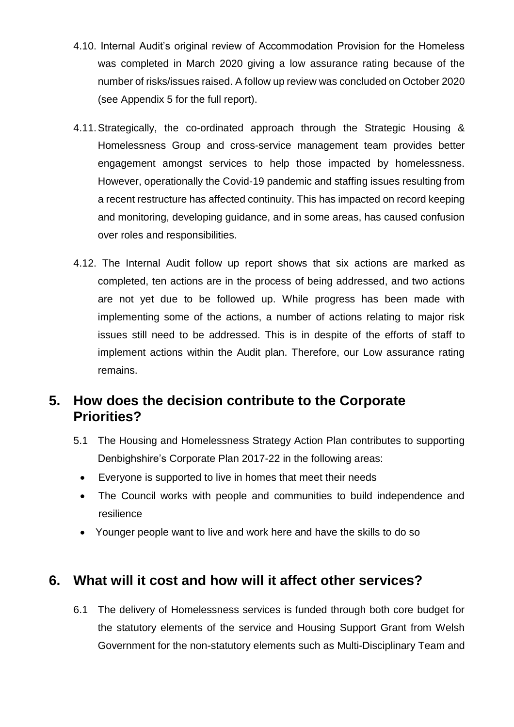- 4.10. Internal Audit's original review of Accommodation Provision for the Homeless was completed in March 2020 giving a low assurance rating because of the number of risks/issues raised. A follow up review was concluded on October 2020 (see Appendix 5 for the full report).
- 4.11.Strategically, the co-ordinated approach through the Strategic Housing & Homelessness Group and cross-service management team provides better engagement amongst services to help those impacted by homelessness. However, operationally the Covid-19 pandemic and staffing issues resulting from a recent restructure has affected continuity. This has impacted on record keeping and monitoring, developing guidance, and in some areas, has caused confusion over roles and responsibilities.
- 4.12. The Internal Audit follow up report shows that six actions are marked as completed, ten actions are in the process of being addressed, and two actions are not yet due to be followed up. While progress has been made with implementing some of the actions, a number of actions relating to major risk issues still need to be addressed. This is in despite of the efforts of staff to implement actions within the Audit plan. Therefore, our Low assurance rating remains.

### **5. How does the decision contribute to the Corporate Priorities?**

- 5.1 The Housing and Homelessness Strategy Action Plan contributes to supporting Denbighshire's Corporate Plan 2017-22 in the following areas:
	- Everyone is supported to live in homes that meet their needs
	- The Council works with people and communities to build independence and resilience
	- Younger people want to live and work here and have the skills to do so

### **6. What will it cost and how will it affect other services?**

6.1 The delivery of Homelessness services is funded through both core budget for the statutory elements of the service and Housing Support Grant from Welsh Government for the non-statutory elements such as Multi-Disciplinary Team and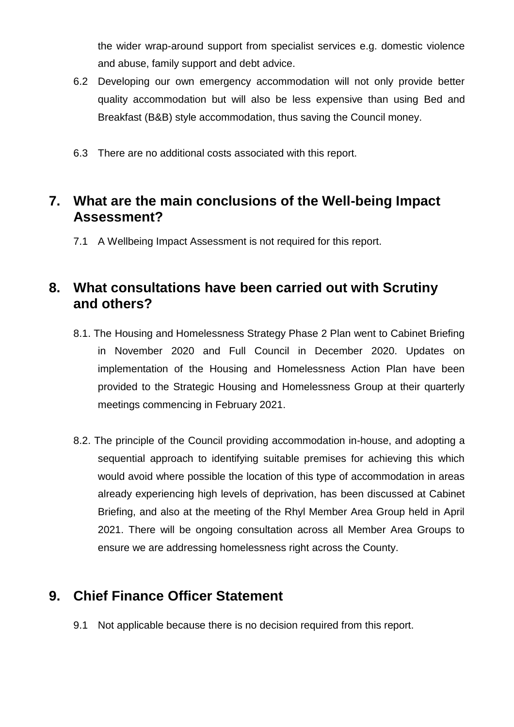the wider wrap-around support from specialist services e.g. domestic violence and abuse, family support and debt advice.

- 6.2 Developing our own emergency accommodation will not only provide better quality accommodation but will also be less expensive than using Bed and Breakfast (B&B) style accommodation, thus saving the Council money.
- 6.3 There are no additional costs associated with this report.

# **7. What are the main conclusions of the Well-being Impact Assessment?**

7.1 A Wellbeing Impact Assessment is not required for this report.

### **8. What consultations have been carried out with Scrutiny and others?**

- 8.1. The Housing and Homelessness Strategy Phase 2 Plan went to Cabinet Briefing in November 2020 and Full Council in December 2020. Updates on implementation of the Housing and Homelessness Action Plan have been provided to the Strategic Housing and Homelessness Group at their quarterly meetings commencing in February 2021.
- 8.2. The principle of the Council providing accommodation in-house, and adopting a sequential approach to identifying suitable premises for achieving this which would avoid where possible the location of this type of accommodation in areas already experiencing high levels of deprivation, has been discussed at Cabinet Briefing, and also at the meeting of the Rhyl Member Area Group held in April 2021. There will be ongoing consultation across all Member Area Groups to ensure we are addressing homelessness right across the County.

# **9. Chief Finance Officer Statement**

9.1 Not applicable because there is no decision required from this report.